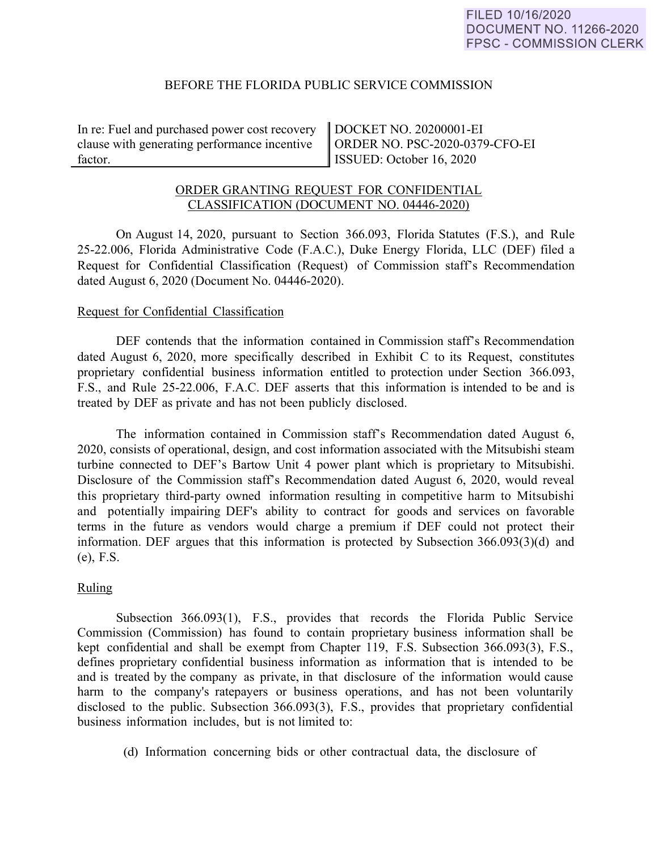# BEFORE THE FLORIDA PUBLIC SERVICE COMMISSION

In re: Fuel and purchased power cost recovery clause with generating performance incentive factor.

DOCKET NO. 20200001-EI ORDER NO. PSC-2020-0379-CFO-EI ISSUED: October 16, 2020

# ORDER GRANTING REQUEST FOR CONFIDENTIAL CLASSIFICATION (DOCUMENT NO. 04446-2020)

On August 14, 2020, pursuant to Section 366.093, Florida Statutes (F.S.), and Rule 25-22.006, Florida Administrative Code (F.A.C.), Duke Energy Florida, LLC (DEF) filed a Request for Confidential Classification (Request) of Commission staff's Recommendation dated August 6, 2020 (Document No. 04446-2020).

## Request for Confidential Classification

DEF contends that the information contained in Commission staff's Recommendation dated August 6, 2020, more specifically described in Exhibit C to its Request, constitutes proprietary confidential business information entitled to protection under Section 366.093, F.S., and Rule 25-22.006, F.A.C. DEF asserts that this information is intended to be and is treated by DEF as private and has not been publicly disclosed.

The information contained in Commission staff's Recommendation dated August 6, 2020, consists of operational, design, and cost information associated with the Mitsubishi steam turbine connected to DEF's Bartow Unit 4 power plant which is proprietary to Mitsubishi. Disclosure of the Commission staff's Recommendation dated August 6, 2020, would reveal this proprietary third-party owned information resulting in competitive harm to Mitsubishi and potentially impairing DEF's ability to contract for goods and services on favorable terms in the future as vendors would charge a premium if DEF could not protect their information. DEF argues that this information is protected by Subsection 366.093(3)(d) and (e), F.S.

#### Ruling

Subsection 366.093(1), F.S., provides that records the Florida Public Service Commission (Commission) has found to contain proprietary business information shall be kept confidential and shall be exempt from Chapter 119, F.S. Subsection 366.093(3), F.S., defines proprietary confidential business information as information that is intended to be and is treated by the company as private, in that disclosure of the information would cause harm to the company's ratepayers or business operations, and has not been voluntarily disclosed to the public. Subsection 366.093(3), F.S., provides that proprietary confidential business information includes, but is not limited to:

(d) Information concerning bids or other contractual data, the disclosure of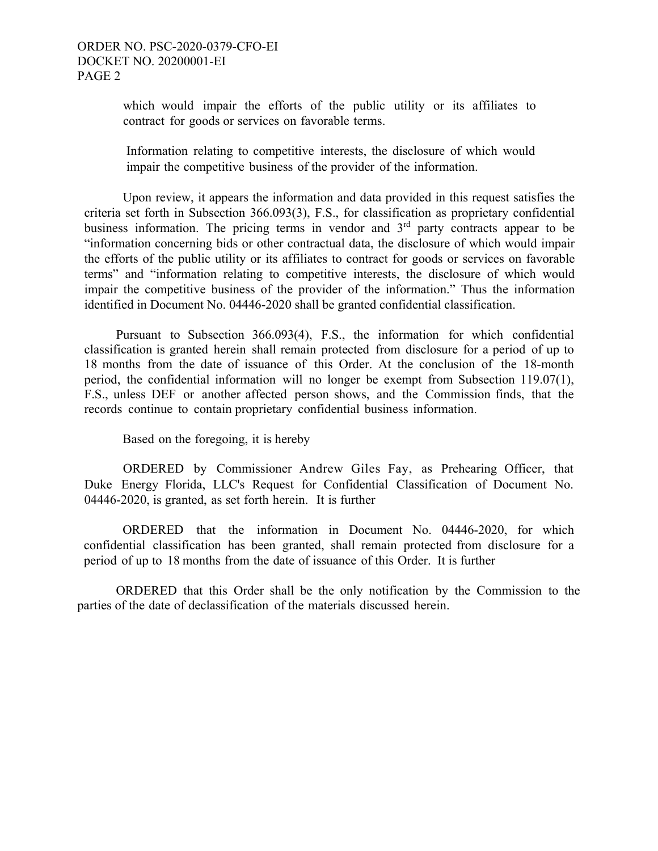which would impair the efforts of the public utility or its affiliates to contract for goods or services on favorable terms.

Information relating to competitive interests, the disclosure of which would impair the competitive business of the provider of the information.

Upon review, it appears the information and data provided in this request satisfies the criteria set forth in Subsection 366.093(3), F.S., for classification as proprietary confidential business information. The pricing terms in vendor and  $3<sup>rd</sup>$  party contracts appear to be "information concerning bids or other contractual data, the disclosure of which would impair the efforts of the public utility or its affiliates to contract for goods or services on favorable terms" and "information relating to competitive interests, the disclosure of which would impair the competitive business of the provider of the information." Thus the information identified in Document No. 04446-2020 shall be granted confidential classification.

 Pursuant to Subsection 366.093(4), F.S., the information for which confidential classification is granted herein shall remain protected from disclosure for a period of up to 18 months from the date of issuance of this Order. At the conclusion of the 18-month period, the confidential information will no longer be exempt from Subsection 119.07(1), F.S., unless DEF or another affected person shows, and the Commission finds, that the records continue to contain proprietary confidential business information.

Based on the foregoing, it is hereby

ORDERED by Commissioner Andrew Giles Fay, as Prehearing Officer, that Duke Energy Florida, LLC's Request for Confidential Classification of Document No. 04446-2020, is granted, as set forth herein. It is further

ORDERED that the information in Document No. 04446-2020, for which confidential classification has been granted, shall remain protected from disclosure for a period of up to 18 months from the date of issuance of this Order. It is further

 ORDERED that this Order shall be the only notification by the Commission to the parties of the date of declassification of the materials discussed herein.